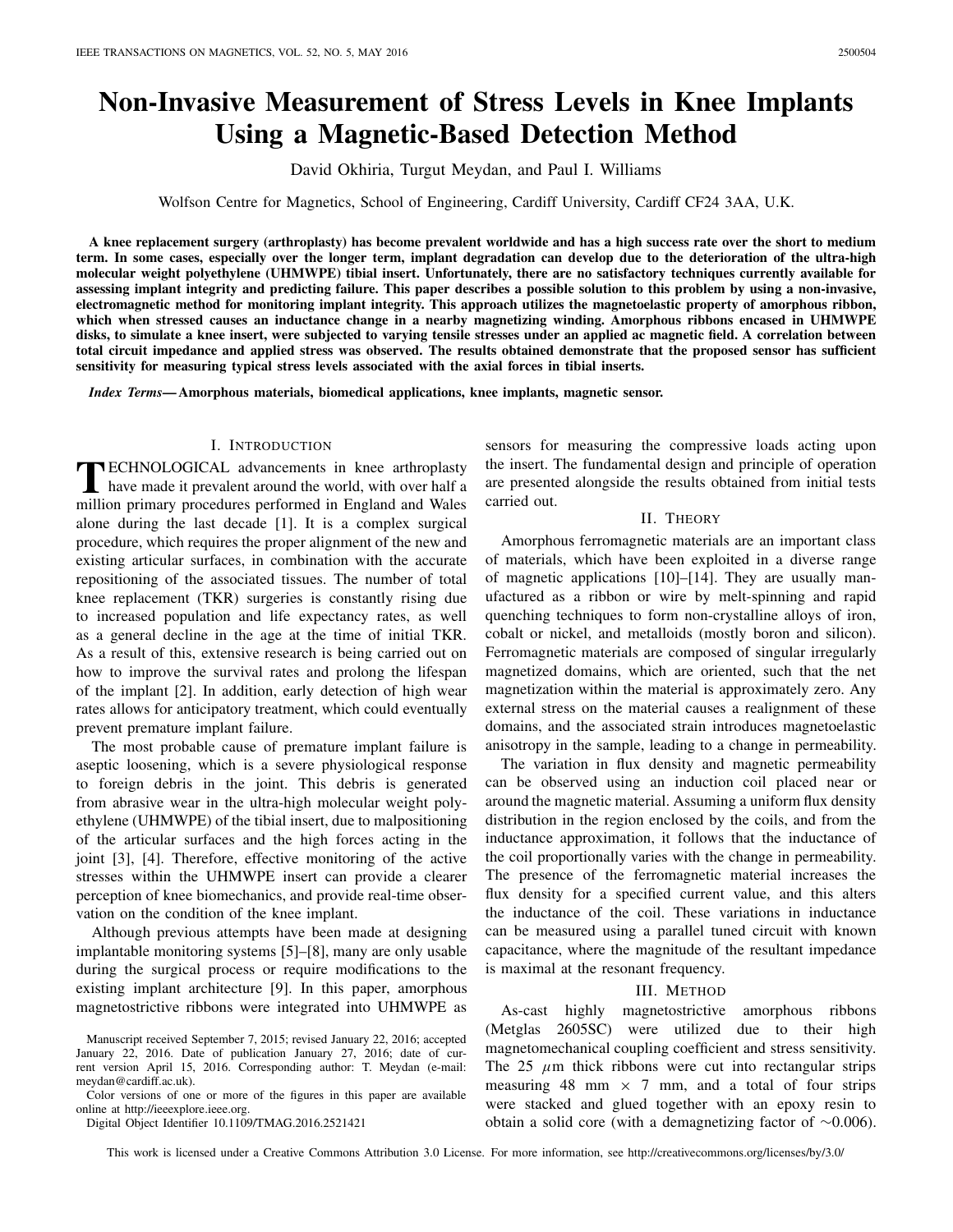# **Non-Invasive Measurement of Stress Levels in Knee Implants Using a Magnetic-Based Detection Method**

David Okhiria, Turgut Meydan, and Paul I. Williams

Wolfson Centre for Magnetics, School of Engineering, Cardiff University, Cardiff CF24 3AA, U.K.

**A knee replacement surgery (arthroplasty) has become prevalent worldwide and has a high success rate over the short to medium term. In some cases, especially over the longer term, implant degradation can develop due to the deterioration of the ultra-high molecular weight polyethylene (UHMWPE) tibial insert. Unfortunately, there are no satisfactory techniques currently available for assessing implant integrity and predicting failure. This paper describes a possible solution to this problem by using a non-invasive, electromagnetic method for monitoring implant integrity. This approach utilizes the magnetoelastic property of amorphous ribbon, which when stressed causes an inductance change in a nearby magnetizing winding. Amorphous ribbons encased in UHMWPE disks, to simulate a knee insert, were subjected to varying tensile stresses under an applied ac magnetic field. A correlation between total circuit impedance and applied stress was observed. The results obtained demonstrate that the proposed sensor has sufficient sensitivity for measuring typical stress levels associated with the axial forces in tibial inserts.**

*Index Terms***— Amorphous materials, biomedical applications, knee implants, magnetic sensor.**

## I. INTRODUCTION

**T**ECHNOLOGICAL advancements in knee arthroplasty<br>have made it prevalent around the world, with over half a million primary procedures performed in England and Wales alone during the last decade [1]. It is a complex surgical procedure, which requires the proper alignment of the new and existing articular surfaces, in combination with the accurate repositioning of the associated tissues. The number of total knee replacement (TKR) surgeries is constantly rising due to increased population and life expectancy rates, as well as a general decline in the age at the time of initial TKR. As a result of this, extensive research is being carried out on how to improve the survival rates and prolong the lifespan of the implant [2]. In addition, early detection of high wear rates allows for anticipatory treatment, which could eventually prevent premature implant failure.

The most probable cause of premature implant failure is aseptic loosening, which is a severe physiological response to foreign debris in the joint. This debris is generated from abrasive wear in the ultra-high molecular weight polyethylene (UHMWPE) of the tibial insert, due to malpositioning of the articular surfaces and the high forces acting in the joint [3], [4]. Therefore, effective monitoring of the active stresses within the UHMWPE insert can provide a clearer perception of knee biomechanics, and provide real-time observation on the condition of the knee implant.

Although previous attempts have been made at designing implantable monitoring systems [5]–[8], many are only usable during the surgical process or require modifications to the existing implant architecture [9]. In this paper, amorphous magnetostrictive ribbons were integrated into UHMWPE as

Color versions of one or more of the figures in this paper are available online at http://ieeexplore.ieee.org.

Digital Object Identifier 10.1109/TMAG.2016.2521421

sensors for measuring the compressive loads acting upon the insert. The fundamental design and principle of operation are presented alongside the results obtained from initial tests carried out.

#### II. THEORY

Amorphous ferromagnetic materials are an important class of materials, which have been exploited in a diverse range of magnetic applications [10]–[14]. They are usually manufactured as a ribbon or wire by melt-spinning and rapid quenching techniques to form non-crystalline alloys of iron, cobalt or nickel, and metalloids (mostly boron and silicon). Ferromagnetic materials are composed of singular irregularly magnetized domains, which are oriented, such that the net magnetization within the material is approximately zero. Any external stress on the material causes a realignment of these domains, and the associated strain introduces magnetoelastic anisotropy in the sample, leading to a change in permeability.

The variation in flux density and magnetic permeability can be observed using an induction coil placed near or around the magnetic material. Assuming a uniform flux density distribution in the region enclosed by the coils, and from the inductance approximation, it follows that the inductance of the coil proportionally varies with the change in permeability. The presence of the ferromagnetic material increases the flux density for a specified current value, and this alters the inductance of the coil. These variations in inductance can be measured using a parallel tuned circuit with known capacitance, where the magnitude of the resultant impedance is maximal at the resonant frequency.

#### III. METHOD

As-cast highly magnetostrictive amorphous ribbons (Metglas 2605SC) were utilized due to their high magnetomechanical coupling coefficient and stress sensitivity. The 25  $\mu$ m thick ribbons were cut into rectangular strips measuring 48 mm  $\times$  7 mm, and a total of four strips were stacked and glued together with an epoxy resin to obtain a solid core (with a demagnetizing factor of ∼0.006).

This work is licensed under a Creative Commons Attribution 3.0 License. For more information, see http://creativecommons.org/licenses/by/3.0/

Manuscript received September 7, 2015; revised January 22, 2016; accepted January 22, 2016. Date of publication January 27, 2016; date of current version April 15, 2016. Corresponding author: T. Meydan (e-mail: meydan@cardiff.ac.uk).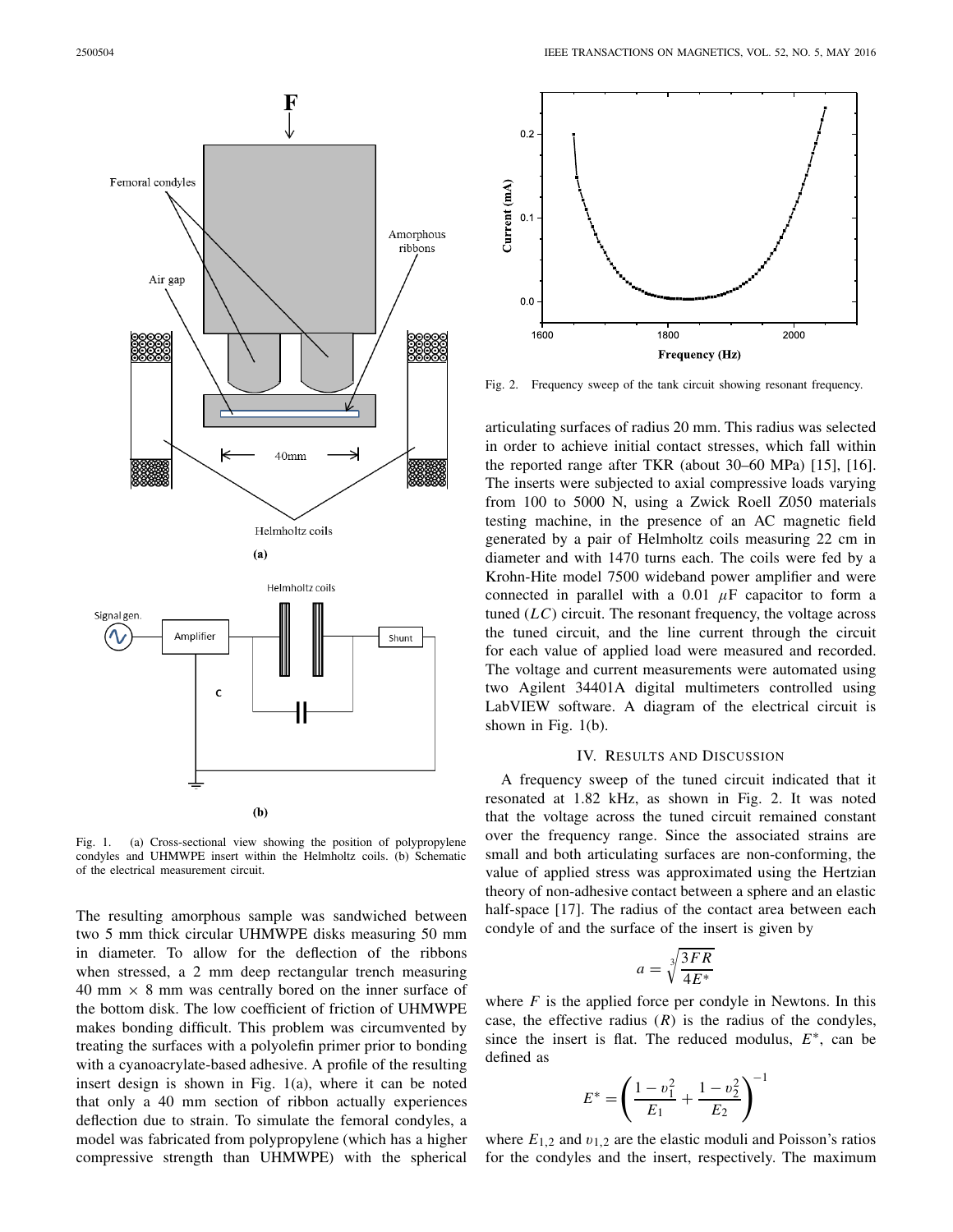

Fig. 1. (a) Cross-sectional view showing the position of polypropylene condyles and UHMWPE insert within the Helmholtz coils. (b) Schematic of the electrical measurement circuit.

The resulting amorphous sample was sandwiched between two 5 mm thick circular UHMWPE disks measuring 50 mm in diameter. To allow for the deflection of the ribbons when stressed, a 2 mm deep rectangular trench measuring 40 mm  $\times$  8 mm was centrally bored on the inner surface of the bottom disk. The low coefficient of friction of UHMWPE makes bonding difficult. This problem was circumvented by treating the surfaces with a polyolefin primer prior to bonding with a cyanoacrylate-based adhesive. A profile of the resulting insert design is shown in Fig. 1(a), where it can be noted that only a 40 mm section of ribbon actually experiences deflection due to strain. To simulate the femoral condyles, a model was fabricated from polypropylene (which has a higher compressive strength than UHMWPE) with the spherical



Fig. 2. Frequency sweep of the tank circuit showing resonant frequency.

articulating surfaces of radius 20 mm. This radius was selected in order to achieve initial contact stresses, which fall within the reported range after TKR (about 30–60 MPa) [15], [16]. The inserts were subjected to axial compressive loads varying from 100 to 5000 N, using a Zwick Roell Z050 materials testing machine, in the presence of an AC magnetic field generated by a pair of Helmholtz coils measuring 22 cm in diameter and with 1470 turns each. The coils were fed by a Krohn-Hite model 7500 wideband power amplifier and were connected in parallel with a  $0.01 \mu$ F capacitor to form a tuned  $(LC)$  circuit. The resonant frequency, the voltage across the tuned circuit, and the line current through the circuit for each value of applied load were measured and recorded. The voltage and current measurements were automated using two Agilent 34401A digital multimeters controlled using LabVIEW software. A diagram of the electrical circuit is shown in Fig. 1(b).

#### IV. RESULTS AND DISCUSSION

A frequency sweep of the tuned circuit indicated that it resonated at 1.82 kHz, as shown in Fig. 2. It was noted that the voltage across the tuned circuit remained constant over the frequency range. Since the associated strains are small and both articulating surfaces are non-conforming, the value of applied stress was approximated using the Hertzian theory of non-adhesive contact between a sphere and an elastic half-space [17]. The radius of the contact area between each condyle of and the surface of the insert is given by

$$
a = \sqrt[3]{\frac{3FR}{4E^*}}
$$

where  $F$  is the applied force per condyle in Newtons. In this case, the effective radius  $(R)$  is the radius of the condyles, since the insert is flat. The reduced modulus,  $E^*$ , can be defined as

$$
E^* = \left(\frac{1 - v_1^2}{E_1} + \frac{1 - v_2^2}{E_2}\right)^{-1}
$$

where  $E_{1,2}$  and  $v_{1,2}$  are the elastic moduli and Poisson's ratios for the condyles and the insert, respectively. The maximum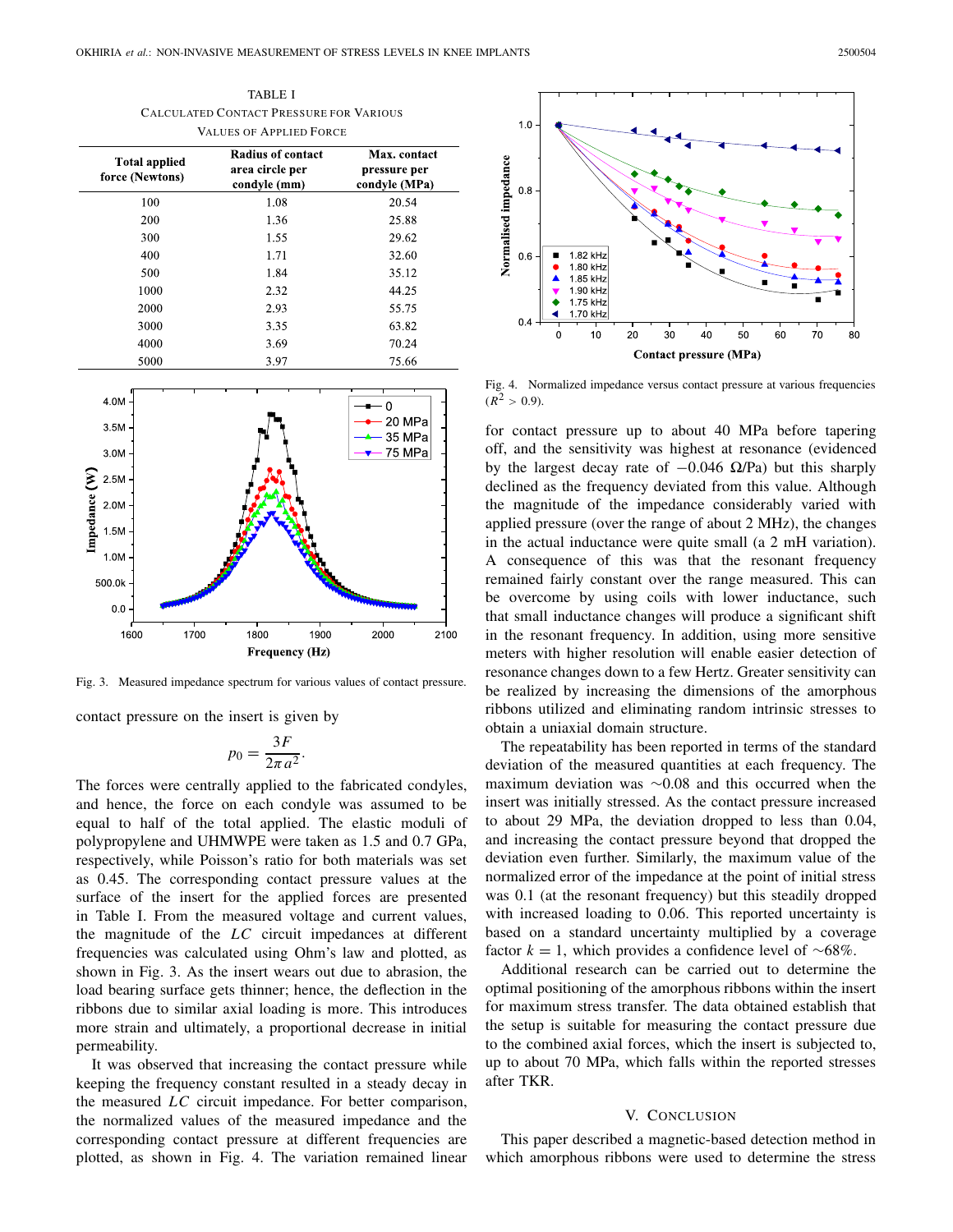TABLE I CALCULATED CONTACT PRESSURE FOR VARIOUS VALUES OF APPLIED FORCE

| <b>Total applied</b><br>force (Newtons) | Radius of contact<br>area circle per<br>condyle (mm) | Max. contact<br>pressure per<br>condyle (MPa) |
|-----------------------------------------|------------------------------------------------------|-----------------------------------------------|
| 100                                     | 1.08                                                 | 20.54                                         |
| 200                                     | 1.36                                                 | 25.88                                         |
| 300                                     | 1.55                                                 | 29.62                                         |
| 400                                     | 1.71                                                 | 32.60                                         |
| 500                                     | 1.84                                                 | 35.12                                         |
| 1000                                    | 2.32                                                 | 44.25                                         |
| 2000                                    | 2.93                                                 | 55.75                                         |
| 3000                                    | 3.35                                                 | 63.82                                         |
| 4000                                    | 3.69                                                 | 70.24                                         |
| 5000                                    | 3.97                                                 | 75.66                                         |



Fig. 3. Measured impedance spectrum for various values of contact pressure.

contact pressure on the insert is given by

$$
p_0 = \frac{3F}{2\pi a^2}.
$$

The forces were centrally applied to the fabricated condyles, and hence, the force on each condyle was assumed to be equal to half of the total applied. The elastic moduli of polypropylene and UHMWPE were taken as 1.5 and 0.7 GPa, respectively, while Poisson's ratio for both materials was set as 0.45. The corresponding contact pressure values at the surface of the insert for the applied forces are presented in Table I. From the measured voltage and current values, the magnitude of the *LC* circuit impedances at different frequencies was calculated using Ohm's law and plotted, as shown in Fig. 3. As the insert wears out due to abrasion, the load bearing surface gets thinner; hence, the deflection in the ribbons due to similar axial loading is more. This introduces more strain and ultimately, a proportional decrease in initial permeability.

It was observed that increasing the contact pressure while keeping the frequency constant resulted in a steady decay in the measured *LC* circuit impedance. For better comparison, the normalized values of the measured impedance and the corresponding contact pressure at different frequencies are plotted, as shown in Fig. 4. The variation remained linear



Fig. 4. Normalized impedance versus contact pressure at various frequencies  $(R^2 > 0.9)$ .

for contact pressure up to about 40 MPa before tapering off, and the sensitivity was highest at resonance (evidenced by the largest decay rate of  $-0.046$  Ω/Pa) but this sharply declined as the frequency deviated from this value. Although the magnitude of the impedance considerably varied with applied pressure (over the range of about 2 MHz), the changes in the actual inductance were quite small (a 2 mH variation). A consequence of this was that the resonant frequency remained fairly constant over the range measured. This can be overcome by using coils with lower inductance, such that small inductance changes will produce a significant shift in the resonant frequency. In addition, using more sensitive meters with higher resolution will enable easier detection of resonance changes down to a few Hertz. Greater sensitivity can be realized by increasing the dimensions of the amorphous ribbons utilized and eliminating random intrinsic stresses to obtain a uniaxial domain structure.

The repeatability has been reported in terms of the standard deviation of the measured quantities at each frequency. The maximum deviation was ∼0.08 and this occurred when the insert was initially stressed. As the contact pressure increased to about 29 MPa, the deviation dropped to less than 0.04, and increasing the contact pressure beyond that dropped the deviation even further. Similarly, the maximum value of the normalized error of the impedance at the point of initial stress was 0.1 (at the resonant frequency) but this steadily dropped with increased loading to 0.06. This reported uncertainty is based on a standard uncertainty multiplied by a coverage factor  $k = 1$ , which provides a confidence level of ~68%.

Additional research can be carried out to determine the optimal positioning of the amorphous ribbons within the insert for maximum stress transfer. The data obtained establish that the setup is suitable for measuring the contact pressure due to the combined axial forces, which the insert is subjected to, up to about 70 MPa, which falls within the reported stresses after TKR.

#### V. CONCLUSION

This paper described a magnetic-based detection method in which amorphous ribbons were used to determine the stress